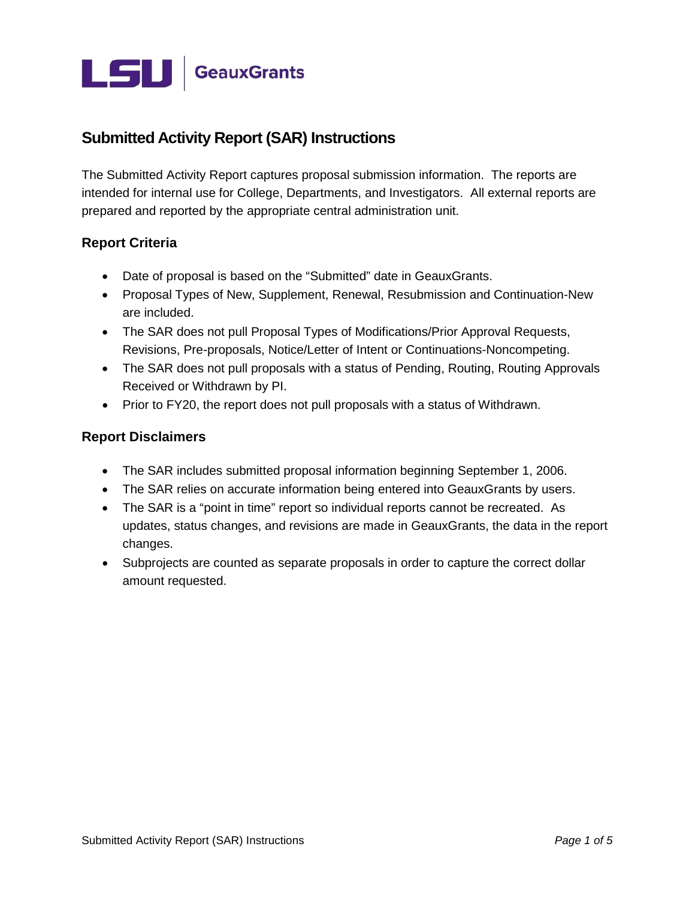

# **Submitted Activity Report (SAR) Instructions**

The Submitted Activity Report captures proposal submission information. The reports are intended for internal use for College, Departments, and Investigators. All external reports are prepared and reported by the appropriate central administration unit.

#### **Report Criteria**

- Date of proposal is based on the "Submitted" date in GeauxGrants.
- Proposal Types of New, Supplement, Renewal, Resubmission and Continuation-New are included.
- The SAR does not pull Proposal Types of Modifications/Prior Approval Requests, Revisions, Pre-proposals, Notice/Letter of Intent or Continuations-Noncompeting.
- The SAR does not pull proposals with a status of Pending, Routing, Routing Approvals Received or Withdrawn by PI.
- Prior to FY20, the report does not pull proposals with a status of Withdrawn.

#### **Report Disclaimers**

- The SAR includes submitted proposal information beginning September 1, 2006.
- The SAR relies on accurate information being entered into GeauxGrants by users.
- The SAR is a "point in time" report so individual reports cannot be recreated. As updates, status changes, and revisions are made in GeauxGrants, the data in the report changes.
- Subprojects are counted as separate proposals in order to capture the correct dollar amount requested.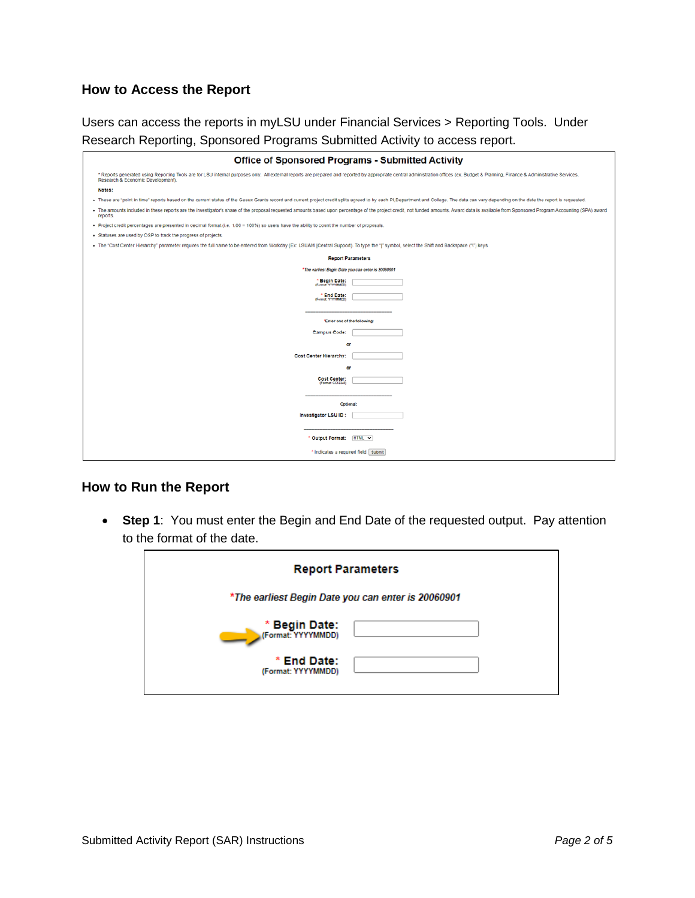### **How to Access the Report**

Users can access the reports in myLSU under Financial Services > Reporting Tools. Under Research Reporting, Sponsored Programs Submitted Activity to access report.

| <b>Office of Sponsored Programs - Submitted Activity</b>                                                                                                                                                                                                            |  |  |  |  |  |
|---------------------------------------------------------------------------------------------------------------------------------------------------------------------------------------------------------------------------------------------------------------------|--|--|--|--|--|
| * Reports generated using Reporting Tools are for LSU internal purposes only. All external reports are prepared and reported by appropriate central administration offices (ex. Budget & Planning, Finance & Administrative Se<br>Research & Economic Development). |  |  |  |  |  |
| Notes:                                                                                                                                                                                                                                                              |  |  |  |  |  |
| - These are "point in time" reports based on the current status of the Geaux Grants record and current project credit splits agreed to by each PI, Department and College. The data can vary depending on the date the report                                       |  |  |  |  |  |
| . The amounts included in these reports are the investigator's share of the proposal requested amounts based upon percentage of the project credit, not funded amounts. Award data is available from Sponsored Program Account<br>reports.                          |  |  |  |  |  |
| . Project credit percentages are presented in decimal format (i.e. 1.00 = 100%) so users have the ability to count the number of proposals.                                                                                                                         |  |  |  |  |  |
| . Statuses are used by OSP to track the progress of projects.                                                                                                                                                                                                       |  |  |  |  |  |
| . The "Cost Center Hierarchy" parameter requires the full name to be entered from Workday (Ex: LSUAM (Central Support). To type the " " symbol, select the Shift and Backspace ("\") keys.                                                                          |  |  |  |  |  |
| <b>Report Parameters</b>                                                                                                                                                                                                                                            |  |  |  |  |  |
| *The earliest Begin Date you can enter is 20060901                                                                                                                                                                                                                  |  |  |  |  |  |
| * Begin Date:<br>(Format: YYYYYMMCO)                                                                                                                                                                                                                                |  |  |  |  |  |
| * End Date:<br>(Format: YYYYYMMOD)                                                                                                                                                                                                                                  |  |  |  |  |  |
|                                                                                                                                                                                                                                                                     |  |  |  |  |  |
| *Enter one of the following:                                                                                                                                                                                                                                        |  |  |  |  |  |
| <b>Campus Code:</b>                                                                                                                                                                                                                                                 |  |  |  |  |  |
| ٥ľ                                                                                                                                                                                                                                                                  |  |  |  |  |  |
| <b>Cost Center Hierarchy:</b>                                                                                                                                                                                                                                       |  |  |  |  |  |
| ٥r                                                                                                                                                                                                                                                                  |  |  |  |  |  |
| <b>Cost Center:</b>                                                                                                                                                                                                                                                 |  |  |  |  |  |
| (Format: CC12345)                                                                                                                                                                                                                                                   |  |  |  |  |  |
|                                                                                                                                                                                                                                                                     |  |  |  |  |  |
| Optional:                                                                                                                                                                                                                                                           |  |  |  |  |  |
| Investigator LSU ID :                                                                                                                                                                                                                                               |  |  |  |  |  |
| * Output Format: HTML ~<br>* Indicates a required field. Submit                                                                                                                                                                                                     |  |  |  |  |  |
|                                                                                                                                                                                                                                                                     |  |  |  |  |  |

#### **How to Run the Report**

• **Step 1**: You must enter the Begin and End Date of the requested output. Pay attention to the format of the date.

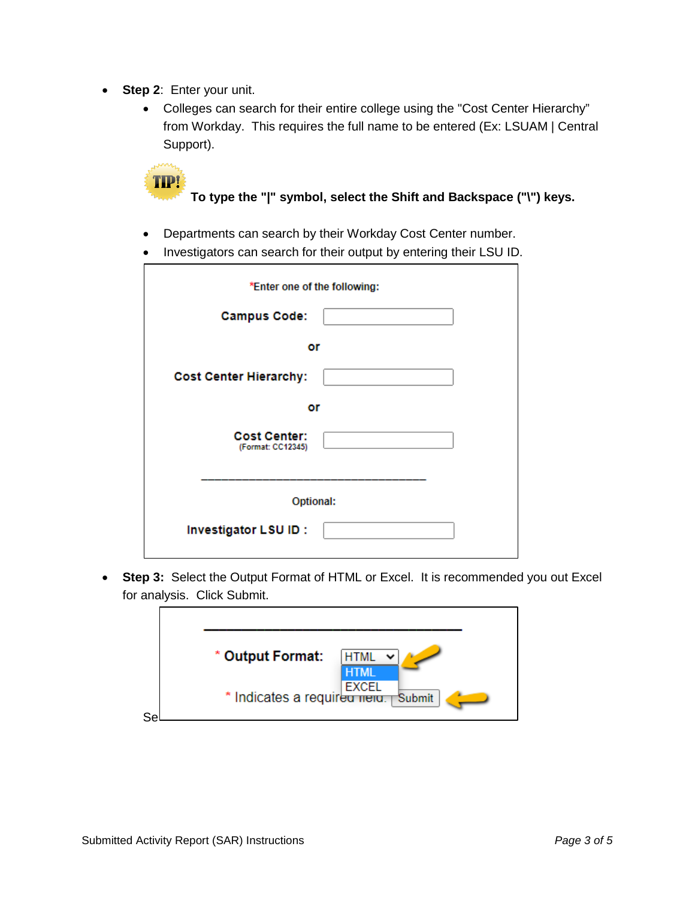- **Step 2**: Enter your unit.
	- Colleges can search for their entire college using the "Cost Center Hierarchy" from Workday. This requires the full name to be entered (Ex: LSUAM | Central Support).



- Departments can search by their Workday Cost Center number.
- Investigators can search for their output by entering their LSU ID.

| *Enter one of the following:             |
|------------------------------------------|
| <b>Campus Code:</b>                      |
| or                                       |
| <b>Cost Center Hierarchy:</b>            |
| or                                       |
| <b>Cost Center:</b><br>(Format: CC12345) |
|                                          |
| Optional:                                |
| Investigator LSU ID:                     |
|                                          |

• **Step 3:** Select the Output Format of HTML or Excel. It is recommended you out Excel for analysis. Click Submit.

|    | * Output Format:<br><b>HTML</b><br><b>HTML</b><br>* Indicates a requirement Submit |
|----|------------------------------------------------------------------------------------|
| Se |                                                                                    |
|    |                                                                                    |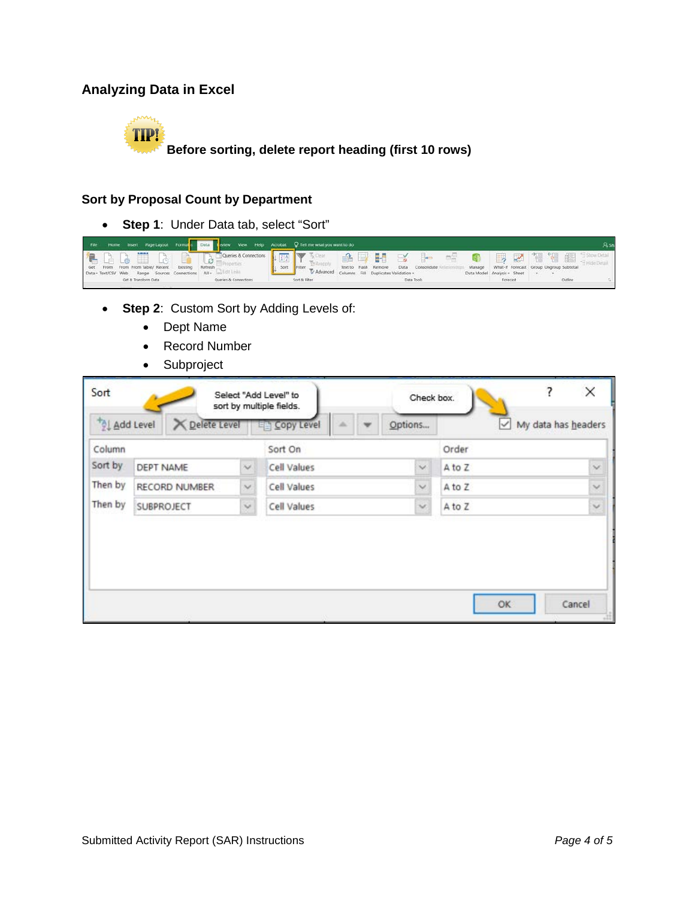# **Analyzing Data in Excel**



## **Sort by Proposal Count by Department**

• **Step 1**: Under Data tab, select "Sort"

| Home Insert Page Layout Formuts Data twiew View Help Acrobat Q Tell me what you want to do<br>File             |                                                                                                   |                                                                                  |
|----------------------------------------------------------------------------------------------------------------|---------------------------------------------------------------------------------------------------|----------------------------------------------------------------------------------|
| Queries & Connections<br><b>A</b> D D D D                                                                      | <b>AD H &amp; P</b><br><b>CONSTRUCTION</b>                                                        | $\sim$ 4 5 $\sim$                                                                |
| From From From Table/ Recent Existing<br>Refresh<br>Get<br>Data - Text/CSV Web Range Sources Connections All - | Sort<br>Text to Flash Remove<br>Data Consolidate<br>Advanced Columns Fill Duplicates Validation - | What-If Forecast Group Ungroup Subtotal<br>Manage<br>Data Model Analysis - Sheet |
| Get & Transform Data<br>Cueries & Connections                                                                  | Sort & Filter<br>Data Tools                                                                       | Outline<br>Forecast                                                              |

- **Step 2**: Custom Sort by Adding Levels of:
	- Dept Name
	- Record Number
	- Subproject

| Add Level<br><b>X</b> Delete Level |              | <b>EE Copy Level</b> | Options      | $\backsim$ | My data has headers     |
|------------------------------------|--------------|----------------------|--------------|------------|-------------------------|
|                                    |              | Sort On              |              | Order      |                         |
| <b>DEPT NAME</b>                   | $\sim$       | Cell Values          | $\checkmark$ | A to Z     | $\overline{\mathbf{v}}$ |
| RECORD NUMBER                      | $\sim$       | Cell Values          | $\checkmark$ | A to Z     | $\checkmark$            |
| <b>SUBPROJECT</b>                  | $\checkmark$ | Cell Values          | $\checkmark$ | A to Z     | $\check{ }$             |
|                                    |              |                      |              |            |                         |